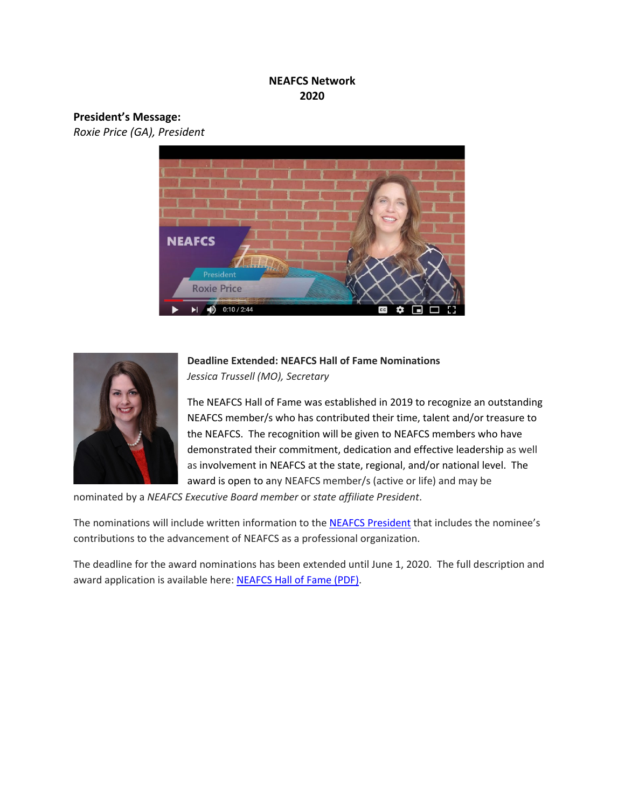## **NEAFCS Network 2020**

#### **President's Message:**

*Roxie Price (GA), President*





# **Deadline Extended: NEAFCS Hall of Fame Nominations** *Jessica Trussell (MO), Secretary*

The NEAFCS Hall of Fame was established in 2019 to recognize an outstanding NEAFCS member/s who has contributed their time, talent and/or treasure to the NEAFCS. The recognition will be given to NEAFCS members who have demonstrated their commitment, dedication and effective leadership as well as involvement in NEAFCS at the state, regional, and/or national level. The award is open to any NEAFCS member/s (active or life) and may be

nominated by a *NEAFCS Executive Board member* or *state affiliate President*.

The nominations will include written information to the [NEAFCS President](mailto:roxieb@uga.edu) that includes the nominee's contributions to the advancement of NEAFCS as a professional organization.

The deadline for the award nominations has been extended until June 1, 2020. The full description and award application is available here: [NEAFCS Hall of Fame \(PDF\).](https://neafcs.memberclicks.net/assets/documents/administration/neafcs%20hall%20of%20fame.pdf)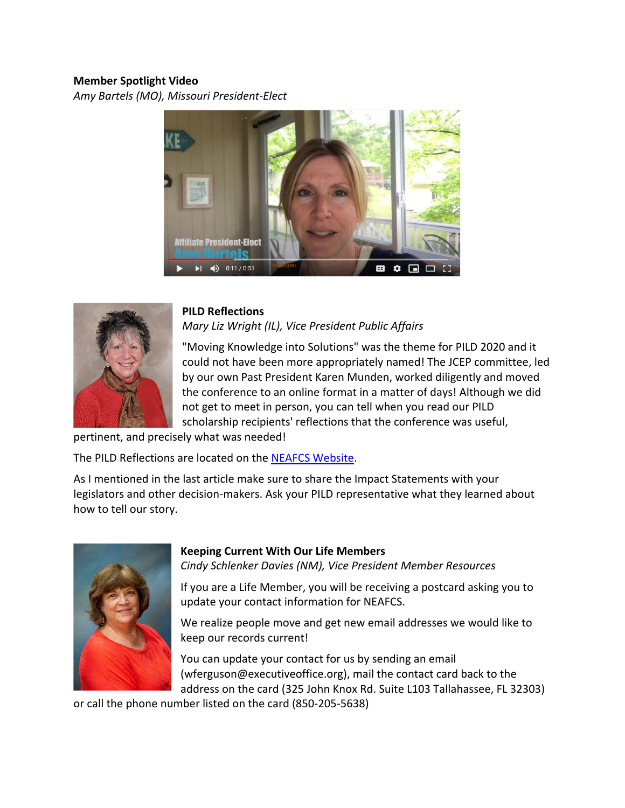## **Member Spotlight Video**

*Amy Bartels (MO), Missouri President-Elect*





# **PILD Reflections**

*Mary Liz Wright (IL), Vice President Public Affairs*

"Moving Knowledge into Solutions" was the theme for PILD 2020 and it could not have been more appropriately named! The JCEP committee, led by our own Past President Karen Munden, worked diligently and moved the conference to an online format in a matter of days! Although we did not get to meet in person, you can tell when you read our PILD scholarship recipients' reflections that the conference was useful,

pertinent, and precisely what was needed!

The PILD Reflections are located on the [NEAFCS Website.](https://neafcs.memberclicks.net/2020-pild-reflections)

As I mentioned in the last article make sure to share the Impact Statements with your legislators and other decision-makers. Ask your PILD representative what they learned about how to tell our story.



#### **Keeping Current With Our Life Members**

*Cindy Schlenker Davies (NM), Vice President Member Resources*

If you are a Life Member, you will be receiving a postcard asking you to update your contact information for NEAFCS.

We realize people move and get new email addresses we would like to keep our records current!

You can update your contact for us by sending an email (wferguson@executiveoffice.org), mail the contact card back to the address on the card (325 John Knox Rd. Suite L103 Tallahassee, FL 32303)

or call the phone number listed on the card (850-205-5638)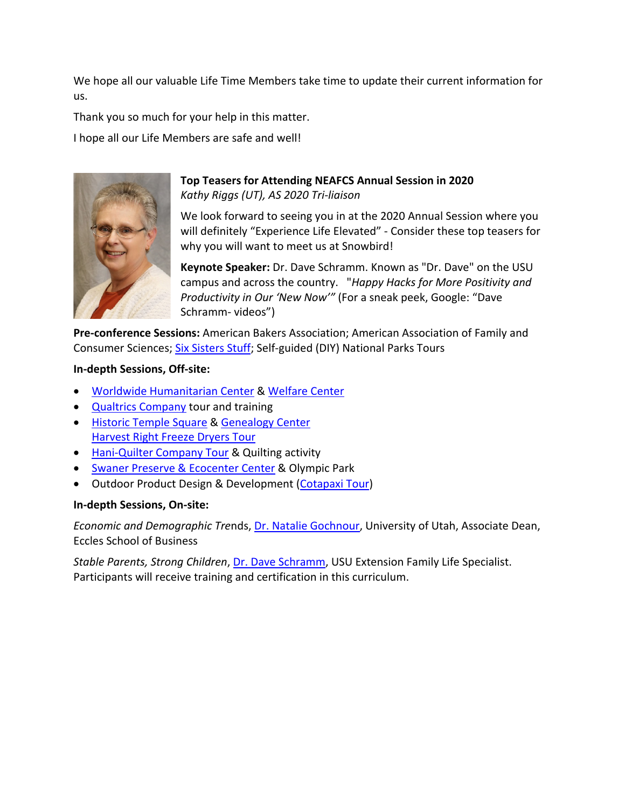We hope all our valuable Life Time Members take time to update their current information for us.

Thank you so much for your help in this matter.

I hope all our Life Members are safe and well!



## **Top Teasers for Attending NEAFCS Annual Session in 2020** *Kathy Riggs (UT), AS 2020 Tri-liaison*

We look forward to seeing you in at the 2020 Annual Session where you will definitely "Experience Life Elevated" - Consider these top teasers for why you will want to meet us at Snowbird!

**Keynote Speaker:** Dr. Dave Schramm. Known as "Dr. Dave" on the USU campus and across the country. "*Happy Hacks for More Positivity and Productivity in Our 'New Now'"* (For a sneak peek, Google: "Dave Schramm- videos")

**Pre-conference Sessions:** American Bakers Association; American Association of Family and Consumer Sciences; [Six Sisters Stuff;](http://www.sixsistersstuff.com/) Self-guided (DIY) National Parks Tours

#### **In-depth Sessions, Off-site:**

- [Worldwide Humanitarian](https://www.churchofjesuschrist.org/locations/temple-square-humanitarian-center?lang=eng) Center [& Welfare Center](https://www.churchofjesuschrist.org/locations/temple-square-salt-lake-city-welfare-square?lang=eng)
- [Qualtrics Company](https://www.qualtrics.com/about/research-services/) tour and training
- [Historic Temple Square](https://www.churchofjesuschrist.org/locations/salt-lake-city-temple-square?lang=eng) & [Genealogy Center](https://www.churchofjesuschrist.org/locations/temple-square-family-history-library?lang=eng) [Harvest Right Freeze Dryers Tour](http://www.harvestrigt.com/)
- [Hani-Quilter Company](http://www.handiquilter.com/about/) Tour & Quilting activity
- [Swaner Preserve & Ecocenter Center](https://www.swanerecocenter.org/about-us/index) & Olympic Park
- Outdoor Product Design & Development [\(Cotapaxi Tour\)](http://www.cotapaxi.com/)

#### **In-depth Sessions, On-site:**

*Economic and Demographic Tre*nds, [Dr. Natalie Gochnour,](https://faculty.utah.edu/u0111736-NATALIE_GOCHNOUR/hm/index.hml) University of Utah, Associate Dean, Eccles School of Business

*Stable Parents, Strong Children*, [Dr. Dave Schramm,](https://hdfs.usu.edu/people/faculty/schramm-david) USU Extension Family Life Specialist. Participants will receive training and certification in this curriculum.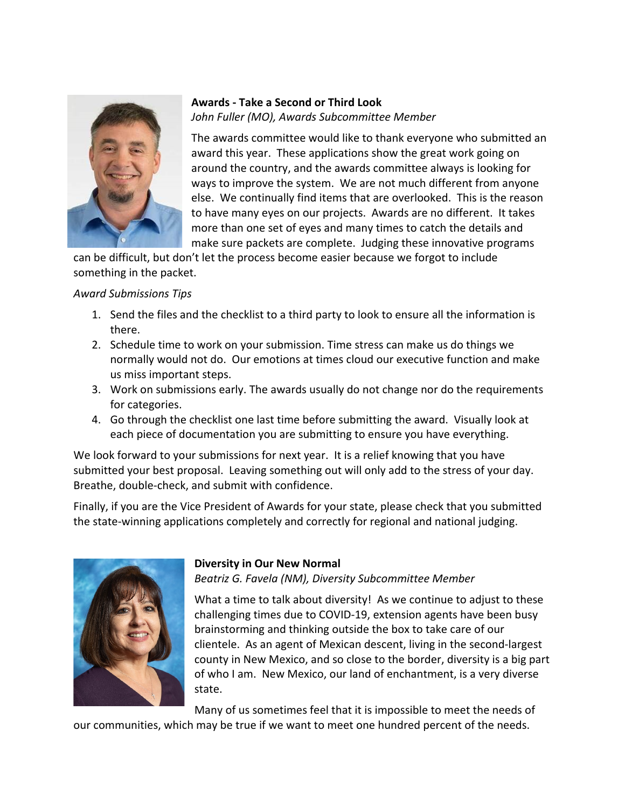

## **Awards - Take a Second or Third Look** *John Fuller (MO), Awards Subcommittee Member*

The awards committee would like to thank everyone who submitted an award this year. These applications show the great work going on around the country, and the awards committee always is looking for ways to improve the system. We are not much different from anyone else. We continually find items that are overlooked. This is the reason to have many eyes on our projects. Awards are no different. It takes more than one set of eyes and many times to catch the details and make sure packets are complete. Judging these innovative programs

can be difficult, but don't let the process become easier because we forgot to include something in the packet.

## *Award Submissions Tips*

- 1. Send the files and the checklist to a third party to look to ensure all the information is there.
- 2. Schedule time to work on your submission. Time stress can make us do things we normally would not do. Our emotions at times cloud our executive function and make us miss important steps.
- 3. Work on submissions early. The awards usually do not change nor do the requirements for categories.
- 4. Go through the checklist one last time before submitting the award. Visually look at each piece of documentation you are submitting to ensure you have everything.

We look forward to your submissions for next year. It is a relief knowing that you have submitted your best proposal. Leaving something out will only add to the stress of your day. Breathe, double-check, and submit with confidence.

Finally, if you are the Vice President of Awards for your state, please check that you submitted the state-winning applications completely and correctly for regional and national judging.



#### **Diversity in Our New Normal**

*Beatriz G. Favela (NM), Diversity Subcommittee Member*

What a time to talk about diversity! As we continue to adjust to these challenging times due to COVID-19, extension agents have been busy brainstorming and thinking outside the box to take care of our clientele. As an agent of Mexican descent, living in the second-largest county in New Mexico, and so close to the border, diversity is a big part of who I am. New Mexico, our land of enchantment, is a very diverse state.

Many of us sometimes feel that it is impossible to meet the needs of

our communities, which may be true if we want to meet one hundred percent of the needs.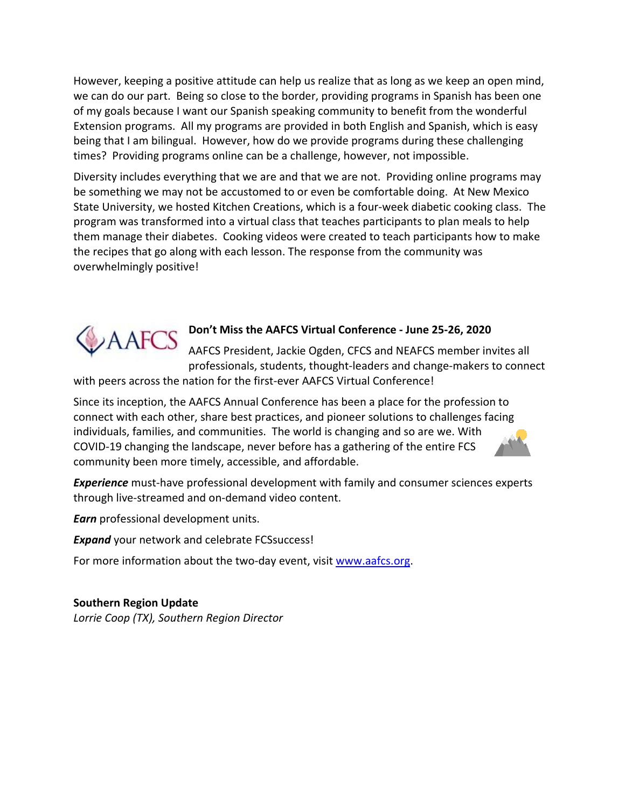However, keeping a positive attitude can help us realize that as long as we keep an open mind, we can do our part. Being so close to the border, providing programs in Spanish has been one of my goals because I want our Spanish speaking community to benefit from the wonderful Extension programs. All my programs are provided in both English and Spanish, which is easy being that I am bilingual. However, how do we provide programs during these challenging times? Providing programs online can be a challenge, however, not impossible.

Diversity includes everything that we are and that we are not. Providing online programs may be something we may not be accustomed to or even be comfortable doing. At New Mexico State University, we hosted Kitchen Creations, which is a four-week diabetic cooking class. The program was transformed into a virtual class that teaches participants to plan meals to help them manage their diabetes. Cooking videos were created to teach participants how to make the recipes that go along with each lesson. The response from the community was overwhelmingly positive!



#### **Don't Miss the AAFCS Virtual Conference - June 25-26, 2020**

AAFCS President, Jackie Ogden, CFCS and NEAFCS member invites all professionals, students, thought-leaders and change-makers to connect

with peers across the nation for the first-ever AAFCS Virtual Conference!

Since its inception, the AAFCS Annual Conference has been a place for the profession to connect with each other, share best practices, and pioneer solutions to challenges facing individuals, families, and communities. The world is changing and so are we. With COVID-19 changing the landscape, never before has a gathering of the entire FCS community been more timely, accessible, and affordable.

*Experience* must-have professional development with family and consumer sciences experts through live-streamed and on-demand video content.

*Earn* professional development units.

*Expand* your network and celebrate FCSsuccess!

For more information about the two-day event, visit [www.aafcs.org.](http://www.aafcs.org/)

**Southern Region Update** *Lorrie Coop (TX), Southern Region Director*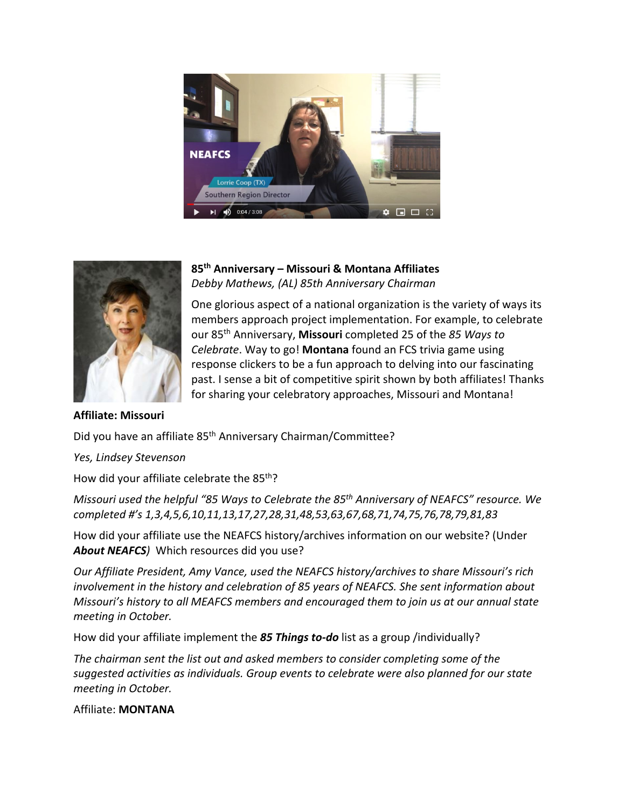



# **85th Anniversary – Missouri & Montana Affiliates**  *Debby Mathews, (AL) 85th Anniversary Chairman*

One glorious aspect of a national organization is the variety of ways its members approach project implementation. For example, to celebrate our 85th Anniversary, **Missouri** completed 25 of the *85 Ways to Celebrate*. Way to go! **Montana** found an FCS trivia game using response clickers to be a fun approach to delving into our fascinating past. I sense a bit of competitive spirit shown by both affiliates! Thanks for sharing your celebratory approaches, Missouri and Montana!

**Affiliate: Missouri**

Did you have an affiliate 85<sup>th</sup> Anniversary Chairman/Committee?

*Yes, Lindsey Stevenson*

How did your affiliate celebrate the 85<sup>th</sup>?

*Missouri used the helpful "85 Ways to Celebrate the 85th Anniversary of NEAFCS" resource. We completed #'s 1,3,4,5,6,10,11,13,17,27,28,31,48,53,63,67,68,71,74,75,76,78,79,81,83*

How did your affiliate use the NEAFCS history/archives information on our website? (Under *About NEAFCS)* Which resources did you use?

*Our Affiliate President, Amy Vance, used the NEAFCS history/archives to share Missouri's rich involvement in the history and celebration of 85 years of NEAFCS. She sent information about Missouri's history to all MEAFCS members and encouraged them to join us at our annual state meeting in October.*

How did your affiliate implement the *85 Things to-do* list as a group /individually?

*The chairman sent the list out and asked members to consider completing some of the suggested activities as individuals. Group events to celebrate were also planned for our state meeting in October.*

Affiliate: **MONTANA**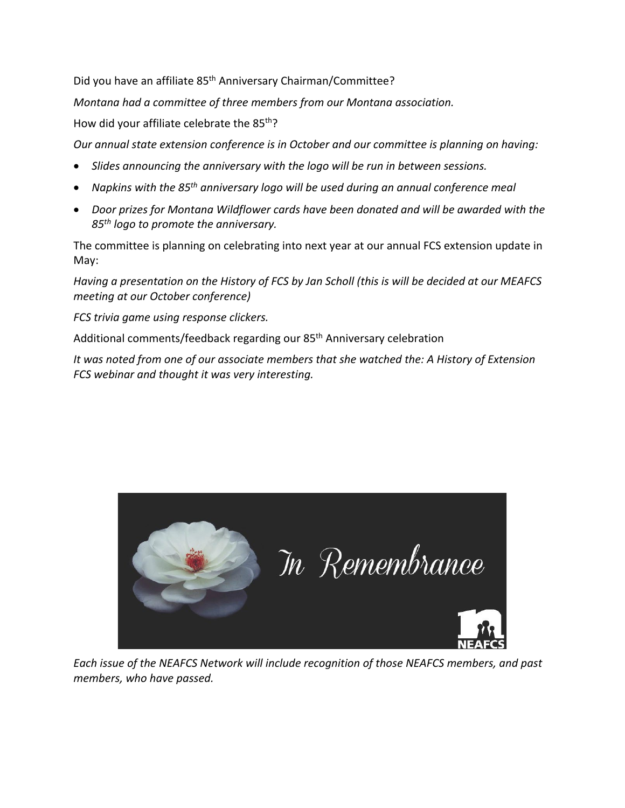Did you have an affiliate 85<sup>th</sup> Anniversary Chairman/Committee?

*Montana had a committee of three members from our Montana association.* 

How did your affiliate celebrate the 85<sup>th</sup>?

*Our annual state extension conference is in October and our committee is planning on having:* 

- *Slides announcing the anniversary with the logo will be run in between sessions.*
- *Napkins with the 85th anniversary logo will be used during an annual conference meal*
- *Door prizes for Montana Wildflower cards have been donated and will be awarded with the 85th logo to promote the anniversary.*

The committee is planning on celebrating into next year at our annual FCS extension update in May:

*Having a presentation on the History of FCS by Jan Scholl (this is will be decided at our MEAFCS meeting at our October conference)*

*FCS trivia game using response clickers.* 

Additional comments/feedback regarding our 85th Anniversary celebration

*It was noted from one of our associate members that she watched the: A History of Extension FCS webinar and thought it was very interesting.*



*Each issue of the NEAFCS Network will include recognition of those NEAFCS members, and past members, who have passed.*